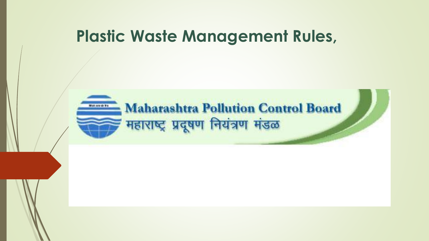## **Plastic Waste Management Rules,**

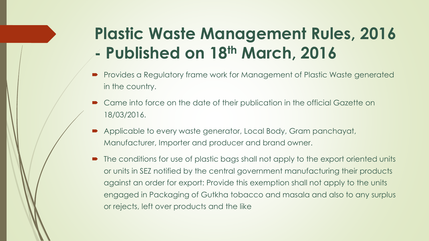# **Plastic Waste Management Rules, 2016 - Published on 18th March, 2016**

- Provides a Regulatory frame work for Management of Plastic Waste generated in the country.
- Came into force on the date of their publication in the official Gazette on 18/03/2016.
- Applicable to every waste generator, Local Body, Gram panchayat, Manufacturer, Importer and producer and brand owner.
- The conditions for use of plastic bags shall not apply to the export oriented units or units in SEZ notified by the central government manufacturing their products against an order for export: Provide this exemption shall not apply to the units engaged in Packaging of Gutkha tobacco and masala and also to any surplus or rejects, left over products and the like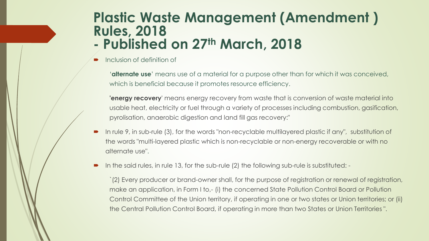#### **Plastic Waste Management (Amendment ) Rules, 2018 - Published on 27th March, 2018**

Inclusion of definition of

'**alternate use**' means use of a material for a purpose other than for which it was conceived, which is beneficial because it promotes resource efficiency.

**'energy recovery**' means energy recovery from waste that is conversion of waste material into usable heat, electricity or fuel through a variety of processes including combustion, gasification, pyrolisation, anaerobic digestion and land fill gas recovery:"

- In rule 9, in sub-rule (3), for the words "non-recyclable multilayered plastic if any", substitution of the words "multi-layered plastic which is non-recyclable or non-energy recoverable or with no alternate use".
- In the said rules, in rule 13, for the sub-rule (2) the following sub-rule is substituted: -

`(2) Every producer or brand-owner shall, for the purpose of registration or renewal of registration, make an application, in Form I to,- (i) the concerned State Pollution Control Board or Pollution Control Committee of the Union territory, if operating in one or two states or Union territories; or (ii) the Central Pollution Control Board, if operating in more than two States or Union Territories ".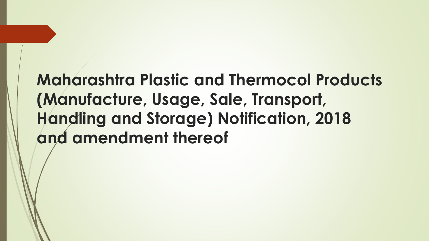# **Maharashtra Plastic and Thermocol Products (Manufacture, Usage, Sale, Transport, Handling and Storage) Notification, 2018 and amendment thereof**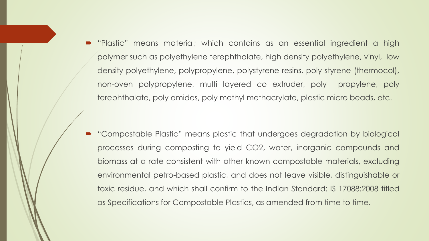"Plastic" means material; which contains as an essential ingredient a high polymer such as polyethylene terephthalate, high density polyethylene, vinyl, low density polyethylene, polypropylene, polystyrene resins, poly styrene (thermocol), non-oven polypropylene, multi layered co extruder, poly propylene, poly terephthalate, poly amides, poly methyl methacrylate, plastic micro beads, etc.

 "Compostable Plastic" means plastic that undergoes degradation by biological processes during composting to yield CO2, water, inorganic compounds and biomass at a rate consistent with other known compostable materials, excluding environmental petro-based plastic, and does not leave visible, distinguishable or toxic residue, and which shall confirm to the Indian Standard: IS 17088:2008 titled as Specifications for Compostable Plastics, as amended from time to time.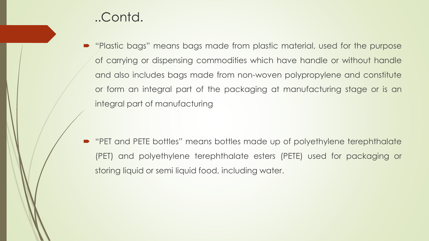#### ..Contd.

 "Plastic bags" means bags made from plastic material, used for the purpose of carrying or dispensing commodities which have handle or without handle and also includes bags made from non-woven polypropylene and constitute or form an integral part of the packaging at manufacturing stage or is an integral part of manufacturing

 "PET and PETE bottles" means bottles made up of polyethylene terephthalate (PET) and polyethylene terephthalate esters (PETE) used for packaging or storing liquid or semi liquid food, including water.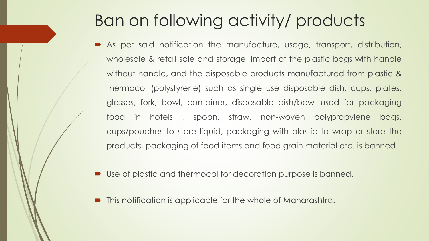## Ban on following activity/ products

- As per said notification the manufacture, usage, transport, distribution, wholesale & retail sale and storage, import of the plastic bags with handle without handle, and the disposable products manufactured from plastic & thermocol (polystyrene) such as single use disposable dish, cups, plates, glasses, fork, bowl, container, disposable dish/bowl used for packaging food in hotels , spoon, straw, non-woven polypropylene bags, cups/pouches to store liquid, packaging with plastic to wrap or store the products, packaging of food items and food grain material etc. is banned.
- Use of plastic and thermocol for decoration purpose is banned.
- This notification is applicable for the whole of Maharashtra.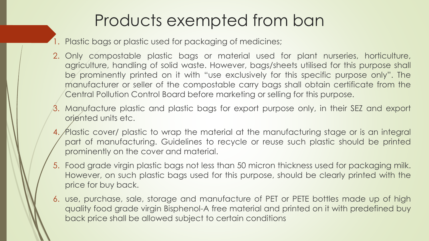## Products exempted from ban

- 1. Plastic bags or plastic used for packaging of medicines;
- 2. Only compostable plastic bags or material used for plant nurseries, horticulture, agriculture, handling of solid waste. However, bags/sheets utilised for this purpose shall be prominently printed on it with "use exclusively for this specific purpose only". The manufacturer or seller of the compostable carry bags shall obtain certificate from the Central Pollution Control Board before marketing or selling for this purpose.
- 3. Manufacture plastic and plastic bags for export purpose only, in their SEZ and export oriented units etc.
- 4. Plastic cover/ plastic to wrap the material at the manufacturing stage or is an integral part of manufacturing. Guidelines to recycle or reuse such plastic should be printed prominently on the cover and material.
- 5. Food grade virgin plastic bags not less than 50 micron thickness used for packaging milk. However, on such plastic bags used for this purpose, should be clearly printed with the price for buy back.
- 6. use, purchase, sale, storage and manufacture of PET or PETE bottles made up of high quality food grade virgin Bisphenol-A free material and printed on it with predefined buy back price shall be allowed subject to certain conditions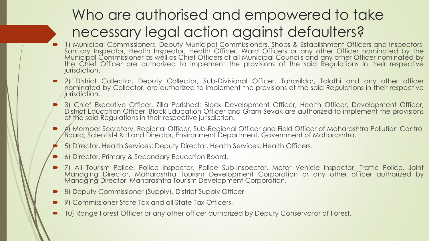### Who are authorised and empowered to take necessary legal action against defaulters?

- 1) Municipal Commissioners, Deputy Municipal Commissioners, Shops & Establishment Officers and Inspectors, Sanitary Inspector, Health Inspector, Health Officer, Ward Officers or any other Officer nominated by the Municipal Commissioner as well as Chief Officers of all Municipal Councils and any other Officer nominated by the Chief Officer are authorized to implement the provisions of the said Regulations in their respective jurisdiction.
- 2) District Collector, Deputy Collector, Sub-Divisional Officer, Tahasildar, Talathi and any other officer nominated by Collector, are authorized to implement the provisions of the said Regulations in their respective iurisdiction.
- 3) Chief Executive Officer, Zilla Parishad; Block Development Officer, Health Officer, Development Officer, District Education Officer, Block Education Officer and Gram Sevak are authorized to implement the provisions of the said Regulations in their respective jurisdiction.
- $\cancel{4}$  Member Secretary, Regional Officer, Sub-Regional Officer and Field Officer of Maharashtra Pollution Control Board, Scientist-I & II and Director, Environment Department, Government of Maharashtra.
- 5) Director, Health Services; Deputy Director, Health Services; Health Officers.
- 6) Director, Primary & Secondary Education Board.
- 7) All Tourism Police, Police Inspector, Police Sub-Inspector, Motor Vehicle Inspector, Traffic Police, Joint Managing Director, Maharashtra Tourism Development Corporation or any other officer authorized by Managing Director, Maharashtra Tourism Development Corporation.
- 8) Deputy Commissioner (Supply), District Supply Officer
- 9) Commissioner State Tax and all State Tax Officers.
- 10) Range Forest Officer or any other officer authorized by Deputy Conservator of Forest.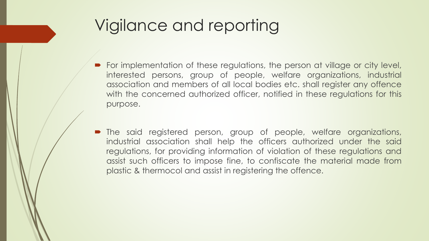## Vigilance and reporting

- For implementation of these regulations, the person at village or city level, interested persons, group of people, welfare organizations, industrial association and members of all local bodies etc. shall register any offence with the concerned authorized officer, notified in these regulations for this purpose.
- The said registered person, group of people, welfare organizations, industrial association shall help the officers authorized under the said regulations, for providing information of violation of these regulations and assist such officers to impose fine, to confiscate the material made from plastic & thermocol and assist in registering the offence.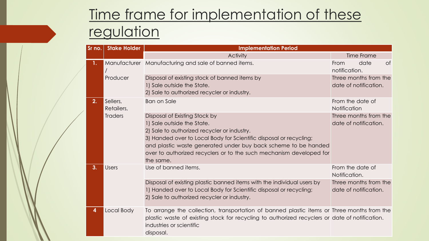### Time frame for implementation of these regulation

|  | Sr no. | <b>Stake Holder</b><br><b>Implementation Period</b> |                                                                                                                                                                                                                                                                                                                                        |                                                |
|--|--------|-----------------------------------------------------|----------------------------------------------------------------------------------------------------------------------------------------------------------------------------------------------------------------------------------------------------------------------------------------------------------------------------------------|------------------------------------------------|
|  |        |                                                     | <b>Activity</b>                                                                                                                                                                                                                                                                                                                        | <b>Time Frame</b>                              |
|  |        |                                                     | Manufacturer Manufacturing and sale of banned items.                                                                                                                                                                                                                                                                                   | date<br><b>of</b><br>From<br>notification.     |
|  |        | Producer                                            | Disposal of existing stock of banned items by<br>1) Sale outside the State.<br>2) Sale to authorized recycler or industry.                                                                                                                                                                                                             | Three months from the<br>date of notification. |
|  | 2.     | Sellers,<br>Retailers,                              | <b>Ban on Sale</b>                                                                                                                                                                                                                                                                                                                     | From the date of<br>Notification               |
|  |        | <b>Traders</b>                                      | Disposal of Existing Stock by<br>1) Sale outside the State.<br>2) Sale to authorized recycler or industry.<br>3) Handed over to Local Body for Scientific disposal or recycling;<br>and plastic waste generated under buy back scheme to be handed<br>over to authorized recyclers or to the such mechanism developed for<br>the same. | Three months from the<br>date of notification. |
|  | 3.     | <b>Users</b>                                        | Use of banned items.                                                                                                                                                                                                                                                                                                                   | From the date of<br>Notification.              |
|  |        |                                                     | Disposal of existing plastic banned items with the individual users by<br>1) Handed over to Local Body for Scientific disposal or recycling;<br>2) Sale to authorized recycler or industry.                                                                                                                                            | Three months from the<br>date of notification. |
|  | 4      | Local Body                                          | To arrange the collection, transportation of banned plastic items or Three months from the<br>plastic waste of existing stock for recycling to authorized recyclers or date of notification.<br>industries or scientific<br>disposal.                                                                                                  |                                                |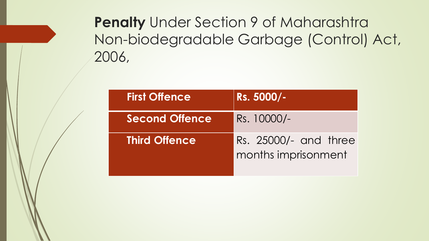### **Penalty** Under Section 9 of Maharashtra Non-biodegradable Garbage (Control) Act, 2006,

| <b>First Offence</b>  | Rs. 5000/-                                   |
|-----------------------|----------------------------------------------|
| <b>Second Offence</b> | Rs. 10000/-                                  |
| <b>Third Offence</b>  | Rs. 25000/- and three<br>months imprisonment |